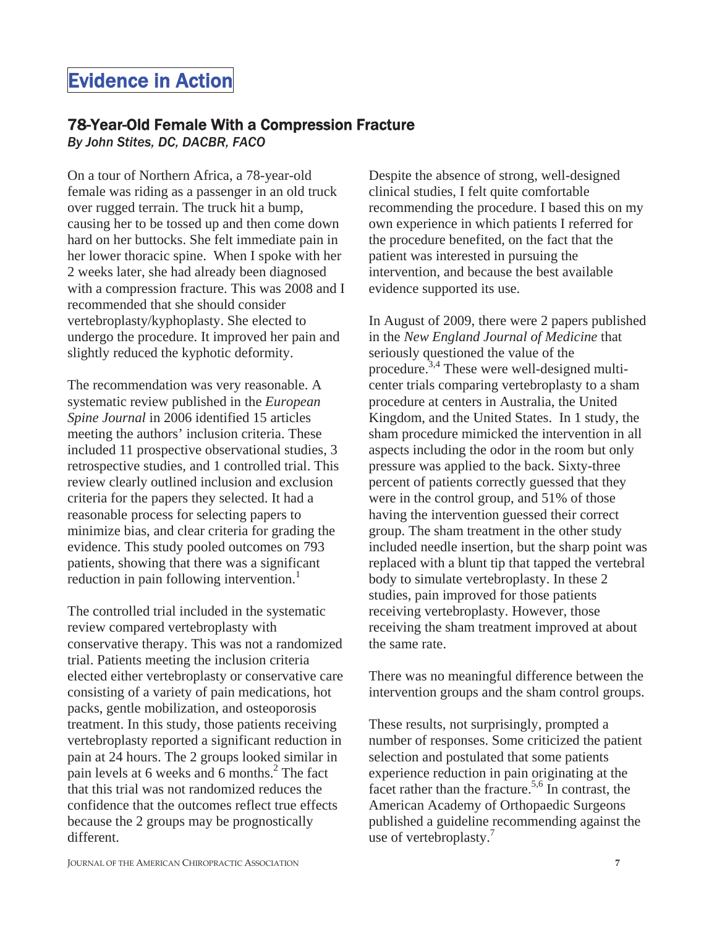## Evidence in Action

## 78-Year-Old Female With a Compression Fracture

*By John Stites, DC, DACBR, FACO*

On a tour of Northern Africa, a 78-year-old female was riding as a passenger in an old truck over rugged terrain. The truck hit a bump, causing her to be tossed up and then come down hard on her buttocks. She felt immediate pain in her lower thoracic spine. When I spoke with her 2 weeks later, she had already been diagnosed with a compression fracture. This was 2008 and I recommended that she should consider vertebroplasty/kyphoplasty. She elected to undergo the procedure. It improved her pain and slightly reduced the kyphotic deformity.

The recommendation was very reasonable. A systematic review published in the *European Spine Journal* in 2006 identified 15 articles meeting the authors' inclusion criteria. These included 11 prospective observational studies, 3 retrospective studies, and 1 controlled trial. This review clearly outlined inclusion and exclusion criteria for the papers they selected. It had a reasonable process for selecting papers to minimize bias, and clear criteria for grading the evidence. This study pooled outcomes on 793 patients, showing that there was a significant reduction in pain following intervention.<sup>1</sup>

The controlled trial included in the systematic review compared vertebroplasty with conservative therapy. This was not a randomized trial. Patients meeting the inclusion criteria elected either vertebroplasty or conservative care consisting of a variety of pain medications, hot packs, gentle mobilization, and osteoporosis treatment. In this study, those patients receiving vertebroplasty reported a significant reduction in pain at 24 hours. The 2 groups looked similar in pain levels at 6 weeks and 6 months. $^{2}$  The fact that this trial was not randomized reduces the confidence that the outcomes reflect true effects because the 2 groups may be prognostically different.

Despite the absence of strong, well-designed clinical studies, I felt quite comfortable recommending the procedure. I based this on my own experience in which patients I referred for the procedure benefited, on the fact that the patient was interested in pursuing the intervention, and because the best available evidence supported its use.

In August of 2009, there were 2 papers published in the *New England Journal of Medicine* that seriously questioned the value of the procedure.<sup>3,4</sup> These were well-designed multicenter trials comparing vertebroplasty to a sham procedure at centers in Australia, the United Kingdom, and the United States. In 1 study, the sham procedure mimicked the intervention in all aspects including the odor in the room but only pressure was applied to the back. Sixty-three percent of patients correctly guessed that they were in the control group, and 51% of those having the intervention guessed their correct group. The sham treatment in the other study included needle insertion, but the sharp point was replaced with a blunt tip that tapped the vertebral body to simulate vertebroplasty. In these 2 studies, pain improved for those patients receiving vertebroplasty. However, those receiving the sham treatment improved at about the same rate.

There was no meaningful difference between the intervention groups and the sham control groups.

These results, not surprisingly, prompted a number of responses. Some criticized the patient selection and postulated that some patients experience reduction in pain originating at the facet rather than the fracture.<sup>5,6</sup> In contrast, the American Academy of Orthopaedic Surgeons published a guideline recommending against the use of vertebroplasty.<sup>7</sup>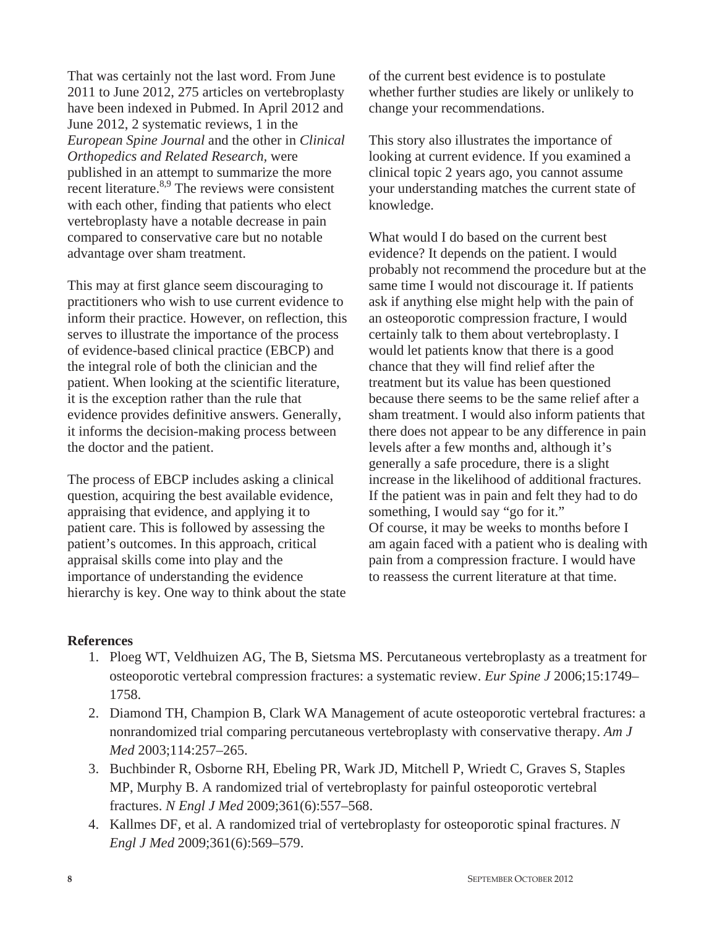That was certainly not the last word. From June 2011 to June 2012, 275 articles on vertebroplasty have been indexed in Pubmed. In April 2012 and June 2012, 2 systematic reviews, 1 in the *European Spine Journal* and the other in *Clinical Orthopedics and Related Research,* were published in an attempt to summarize the more recent literature.<sup>8,9</sup> The reviews were consistent with each other, finding that patients who elect vertebroplasty have a notable decrease in pain compared to conservative care but no notable advantage over sham treatment.

This may at first glance seem discouraging to practitioners who wish to use current evidence to inform their practice. However, on reflection, this serves to illustrate the importance of the process of evidence-based clinical practice (EBCP) and the integral role of both the clinician and the patient. When looking at the scientific literature, it is the exception rather than the rule that evidence provides definitive answers. Generally, it informs the decision-making process between the doctor and the patient.

The process of EBCP includes asking a clinical question, acquiring the best available evidence, appraising that evidence, and applying it to patient care. This is followed by assessing the patient's outcomes. In this approach, critical appraisal skills come into play and the importance of understanding the evidence hierarchy is key. One way to think about the state of the current best evidence is to postulate whether further studies are likely or unlikely to change your recommendations.

This story also illustrates the importance of looking at current evidence. If you examined a clinical topic 2 years ago, you cannot assume your understanding matches the current state of knowledge.

What would I do based on the current best evidence? It depends on the patient. I would probably not recommend the procedure but at the same time I would not discourage it. If patients ask if anything else might help with the pain of an osteoporotic compression fracture, I would certainly talk to them about vertebroplasty. I would let patients know that there is a good chance that they will find relief after the treatment but its value has been questioned because there seems to be the same relief after a sham treatment. I would also inform patients that there does not appear to be any difference in pain levels after a few months and, although it's generally a safe procedure, there is a slight increase in the likelihood of additional fractures. If the patient was in pain and felt they had to do something, I would say "go for it." Of course, it may be weeks to months before I am again faced with a patient who is dealing with pain from a compression fracture. I would have to reassess the current literature at that time.

## **References**

- 1. Ploeg WT, Veldhuizen AG, The B, Sietsma MS. Percutaneous vertebroplasty as a treatment for osteoporotic vertebral compression fractures: a systematic review. *Eur Spine J* 2006;15:1749– 1758.
- 2. Diamond TH, Champion B, Clark WA Management of acute osteoporotic vertebral fractures: a nonrandomized trial comparing percutaneous vertebroplasty with conservative therapy. *Am J Med* 2003;114:257–265.
- 3. Buchbinder R, Osborne RH, Ebeling PR, Wark JD, Mitchell P, Wriedt C, Graves S, Staples MP, Murphy B. A randomized trial of vertebroplasty for painful osteoporotic vertebral fractures. *N Engl J Med* 2009;361(6):557–568.
- 4. Kallmes DF, et al. A randomized trial of vertebroplasty for osteoporotic spinal fractures. *N Engl J Med* 2009;361(6):569–579.